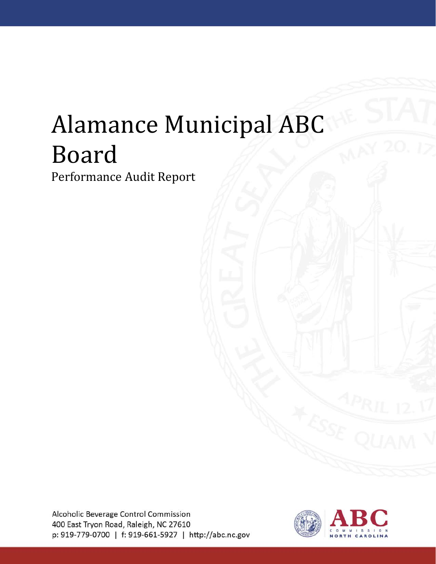# Alamance Municipal ABC Board

Performance Audit Report

Alcoholic Beverage Control Commission 400 East Tryon Road, Raleigh, NC 27610 p: 919-779-0700 | f: 919-661-5927 | http://abc.nc.gov

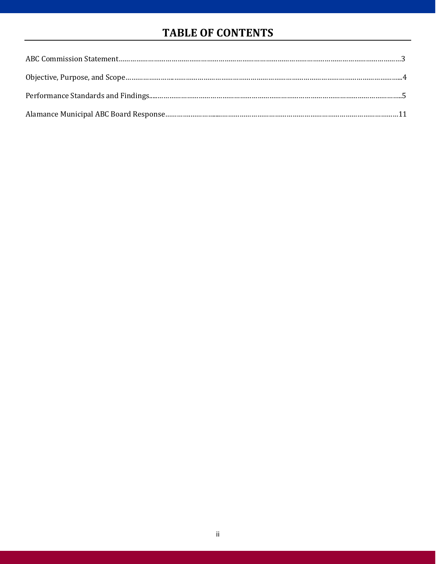# **TABLE OF CONTENTS**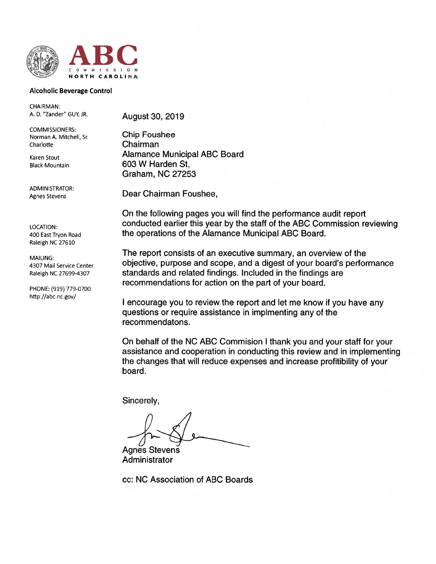

#### **Alcoholic Beverage Control**

**CHAIRMAN:** A. D. "Zander" GUY, JR.

**COMMISSIONERS:** Norman A. Mitchell, Sr. Charlotte

Karen Stout **Black Mountain** 

**ADMINISTRATOR:** Agnes Stevens

LOCATION: 400 East Tryon Road Raleigh NC 27610

**MAILING:** 4307 Mail Service Center Raleigh NC 27699-4307

PHONE: (919) 779-0700 http://abc.nc.gov/

**August 30, 2019** 

**Chip Foushee** Chairman **Alamance Municipal ABC Board** 603 W Harden St, **Graham, NC 27253** 

Dear Chairman Foushee,

On the following pages you will find the performance audit report conducted earlier this year by the staff of the ABC Commission reviewing the operations of the Alamance Municipal ABC Board.

The report consists of an executive summary, an overview of the objective, purpose and scope, and a digest of your board's performance standards and related findings. Included in the findings are recommendations for action on the part of your board.

I encourage you to review the report and let me know if you have any questions or require assistance in implmenting any of the recommendatons.

On behalf of the NC ABC Commision I thank you and your staff for your assistance and cooperation in conducting this review and in implementing the changes that will reduce expenses and increase profitibility of your board.

Sincerely.

**Agnes Stevens** Administrator

cc: NC Association of ABC Boards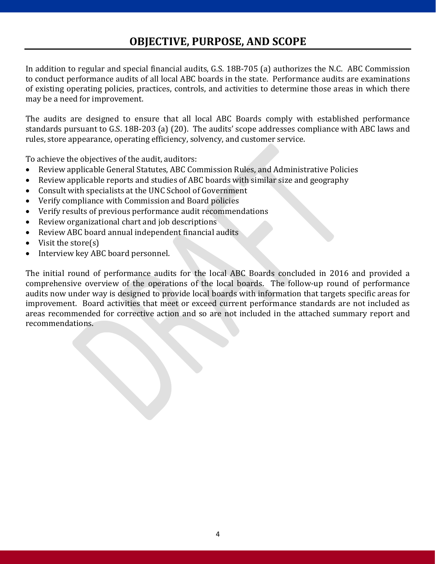# **OBJECTIVE, PURPOSE, AND SCOPE**

In addition to regular and special financial audits, G.S. 18B-705 (a) authorizes the N.C. ABC Commission to conduct performance audits of all local ABC boards in the state. Performance audits are examinations of existing operating policies, practices, controls, and activities to determine those areas in which there may be a need for improvement.

The audits are designed to ensure that all local ABC Boards comply with established performance standards pursuant to G.S. 18B-203 (a) (20). The audits' scope addresses compliance with ABC laws and rules, store appearance, operating efficiency, solvency, and customer service.

To achieve the objectives of the audit, auditors:

- Review applicable General Statutes, ABC Commission Rules, and Administrative Policies
- Review applicable reports and studies of ABC boards with similar size and geography
- Consult with specialists at the UNC School of Government
- Verify compliance with Commission and Board policies
- Verify results of previous performance audit recommendations
- Review organizational chart and job descriptions
- Review ABC board annual independent financial audits
- Visit the store(s)
- Interview key ABC board personnel.

The initial round of performance audits for the local ABC Boards concluded in 2016 and provided a comprehensive overview of the operations of the local boards. The follow-up round of performance audits now under way is designed to provide local boards with information that targets specific areas for improvement. Board activities that meet or exceed current performance standards are not included as areas recommended for corrective action and so are not included in the attached summary report and recommendations.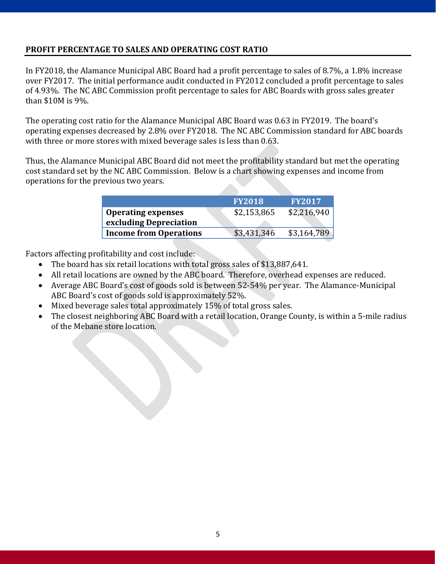# **PROFIT PERCENTAGE TO SALES AND OPERATING COST RATIO**

In FY2018, the Alamance Municipal ABC Board had a profit percentage to sales of 8.7%, a 1.8% increase over FY2017. The initial performance audit conducted in FY2012 concluded a profit percentage to sales of 4.93%. The NC ABC Commission profit percentage to sales for ABC Boards with gross sales greater than \$10M is 9%.

The operating cost ratio for the Alamance Municipal ABC Board was 0.63 in FY2019. The board's operating expenses decreased by 2.8% over FY2018. The NC ABC Commission standard for ABC boards with three or more stores with mixed beverage sales is less than 0.63.

Thus, the Alamance Municipal ABC Board did not meet the profitability standard but met the operating cost standard set by the NC ABC Commission. Below is a chart showing expenses and income from operations for the previous two years.

|                               | <b>FY2018</b> | <b>FY2017</b> |
|-------------------------------|---------------|---------------|
| <b>Operating expenses</b>     | \$2,153,865   | \$2,216,940   |
| excluding Depreciation        |               |               |
| <b>Income from Operations</b> | \$3,431,346   | \$3,164,789   |

Factors affecting profitability and cost include:

- The board has six retail locations with total gross sales of \$13,887,641.<br>• All retail locations are owned by the ABC board. Therefore, overhead example
- All retail locations are owned by the ABC board. Therefore, overhead expenses are reduced.
- Average ABC Board's cost of goods sold is between 52-54% per year. The Alamance-Municipal ABC Board's cost of goods sold is approximately 52%.
- Mixed beverage sales total approximately 15% of total gross sales.
- The closest neighboring ABC Board with a retail location, Orange County, is within a 5-mile radius of the Mebane store location.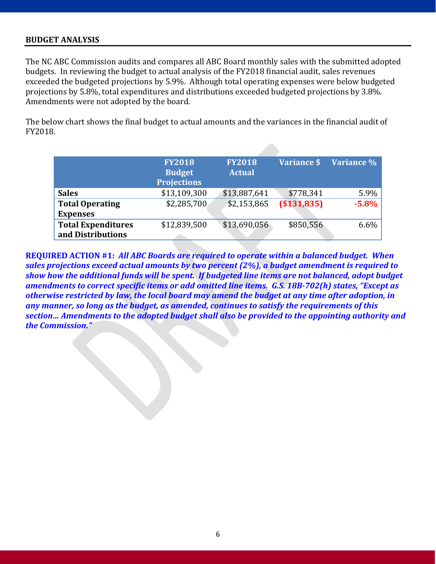# **BUDGET ANALYSIS**

The NC ABC Commission audits and compares all ABC Board monthly sales with the submitted adopted budgets. In reviewing the budget to actual analysis of the FY2018 financial audit, sales revenues exceeded the budgeted projections by 5.9%. Although total operating expenses were below budgeted projections by 5.8%, total expenditures and distributions exceeded budgeted projections by 3.8%. Amendments were not adopted by the board.

The below chart shows the final budget to actual amounts and the variances in the financial audit of FY2018.

|                           | <b>FY2018</b><br><b>Budget</b><br><b>Projections</b> | <b>FY2018</b><br><b>Actual</b> | Variance \$   | Variance % |
|---------------------------|------------------------------------------------------|--------------------------------|---------------|------------|
| <b>Sales</b>              | \$13,109,300                                         | \$13,887,641                   | \$778,341     | 5.9%       |
| <b>Total Operating</b>    | \$2,285,700                                          | \$2,153,865                    | ( \$131, 835) | $-5.8%$    |
| <b>Expenses</b>           |                                                      |                                |               |            |
| <b>Total Expenditures</b> | \$12,839,500                                         | \$13,690,056                   | \$850,556     | $6.6\%$    |
| and Distributions         |                                                      |                                |               |            |

**REQUIRED ACTION #1:** *All ABC Boards are required to operate within a balanced budget. When sales projections exceed actual amounts by two percent (2%), a budget amendment is required to show how the additional funds will be spent. If budgeted line items are not balanced, adopt budget amendments to correct specific items or add omitted line items. G.S. 18B-702(h) states, "Except as otherwise restricted by law, the local board may amend the budget at any time after adoption, in any manner, so long as the budget, as amended, continues to satisfy the requirements of this section… Amendments to the adopted budget shall also be provided to the appointing authority and the Commission."*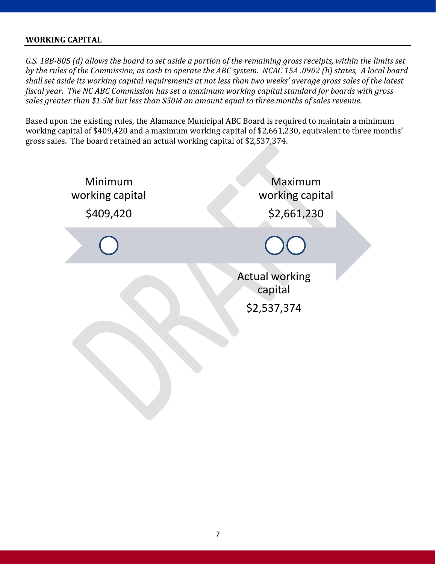# **WORKING CAPITAL**

*G.S. 18B-805 (d) allows the board to set aside a portion of the remaining gross receipts, within the limits set by the rules of the Commission, as cash to operate the ABC system. NCAC 15A .0902 (b) states, A local board shall set aside its working capital requirements at not less than two weeks' average gross sales of the latest fiscal year. The NC ABC Commission has set a maximum working capital standard for boards with gross sales greater than \$1.5M but less than \$50M an amount equal to three months of sales revenue.*

Based upon the existing rules, the Alamance Municipal ABC Board is required to maintain a minimum working capital of \$409,420 and a maximum working capital of \$2,661,230, equivalent to three months' gross sales. The board retained an actual working capital of \$2,537,374.

| Minimum<br>working capital<br>\$409,420 | Maximum<br>working capital<br>\$2,661,230       |  |  |
|-----------------------------------------|-------------------------------------------------|--|--|
|                                         |                                                 |  |  |
|                                         | <b>Actual working</b><br>capital<br>\$2,537,374 |  |  |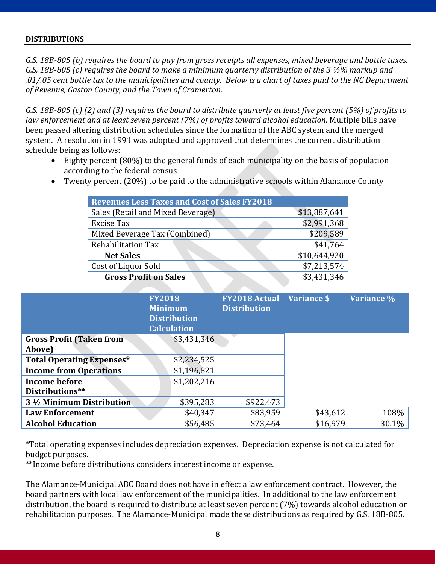#### **DISTRIBUTIONS**

*G.S. 18B-805 (b) requires the board to pay from gross receipts all expenses, mixed beverage and bottle taxes. G.S. 18B-805 (c) requires the board to make a minimum quarterly distribution of the 3 ½% markup and .01/.05 cent bottle tax to the municipalities and county. Below is a chart of taxes paid to the NC Department of Revenue, Gaston County, and the Town of Cramerton.*

*G.S. 18B-805 (c) (2) and (3) requires the board to distribute quarterly at least five percent (5%) of profits to law enforcement and at least seven percent (7%) of profits toward alcohol education.* Multiple bills have been passed altering distribution schedules since the formation of the ABC system and the merged system. A resolution in 1991 was adopted and approved that determines the current distribution schedule being as follows:

- Eighty percent (80%) to the general funds of each municipality on the basis of population according to the federal census
- Twenty percent (20%) to be paid to the administrative schools within Alamance County

| <b>Revenues Less Taxes and Cost of Sales FY2018</b> |              |
|-----------------------------------------------------|--------------|
| Sales (Retail and Mixed Beverage)                   | \$13,887,641 |
| <b>Excise Tax</b>                                   | \$2,991,368  |
| Mixed Beverage Tax (Combined)                       | \$209,589    |
| <b>Rehabilitation Tax</b>                           | \$41,764     |
| <b>Net Sales</b>                                    | \$10,644,920 |
| Cost of Liquor Sold                                 | \$7,213,574  |
| <b>Gross Profit on Sales</b>                        | \$3,431,346  |

|                                  | <b>FY2018</b><br><b>Minimum</b><br><b>Distribution</b><br><b>Calculation</b> | <b>FY2018 Actual</b> Variance \$<br><b>Distribution</b> |          | Variance % |
|----------------------------------|------------------------------------------------------------------------------|---------------------------------------------------------|----------|------------|
| <b>Gross Profit (Taken from</b>  | \$3,431,346                                                                  |                                                         |          |            |
| Above)                           |                                                                              |                                                         |          |            |
| <b>Total Operating Expenses*</b> | \$2,234,525                                                                  |                                                         |          |            |
| <b>Income from Operations</b>    | \$1,196,821                                                                  |                                                         |          |            |
| <b>Income before</b>             | \$1,202,216                                                                  |                                                         |          |            |
| Distributions**                  |                                                                              |                                                         |          |            |
| 3 1/2 Minimum Distribution       | \$395,283                                                                    | \$922,473                                               |          |            |
| <b>Law Enforcement</b>           | \$40,347                                                                     | \$83,959                                                | \$43,612 | 108%       |
| <b>Alcohol Education</b>         | \$56,485                                                                     | \$73,464                                                | \$16,979 | $30.1\%$   |

\*Total operating expenses includes depreciation expenses. Depreciation expense is not calculated for budget purposes.

\*\*Income before distributions considers interest income or expense.

The Alamance-Municipal ABC Board does not have in effect a law enforcement contract. However, the board partners with local law enforcement of the municipalities. In additional to the law enforcement distribution, the board is required to distribute at least seven percent (7%) towards alcohol education or rehabilitation purposes. The Alamance-Municipal made these distributions as required by G.S. 18B-805.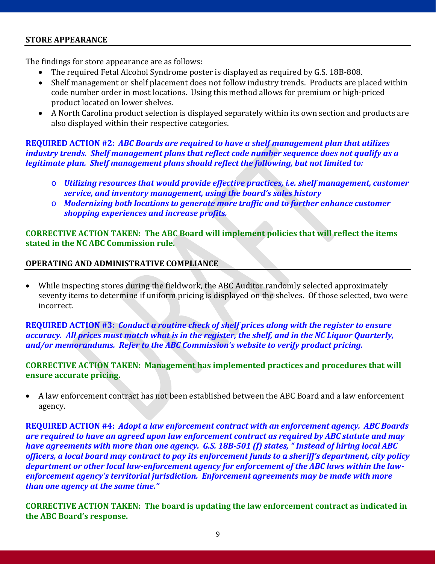# **STORE APPEARANCE**

The findings for store appearance are as follows:

- The required Fetal Alcohol Syndrome poster is displayed as required by G.S. 18B-808.
- Shelf management or shelf placement does not follow industry trends. Products are placed within code number order in most locations. Using this method allows for premium or high-priced product located on lower shelves.
- A North Carolina product selection is displayed separately within its own section and products are also displayed within their respective categories.

**REQUIRED ACTION #2:** *ABC Boards are required to have a shelf management plan that utilizes industry trends. Shelf management plans that reflect code number sequence does not qualify as a legitimate plan. Shelf management plans should reflect the following, but not limited to:* 

- o *Utilizing resources that would provide effective practices, i.e. shelf management, customer service, and inventory management, using the board's sales history*
- o *Modernizing both locations to generate more traffic and to further enhance customer shopping experiences and increase profits.*

**CORRECTIVE ACTION TAKEN: The ABC Board will implement policies that will reflect the items stated in the NC ABC Commission rule.**

# **OPERATING AND ADMINISTRATIVE COMPLIANCE**

• While inspecting stores during the fieldwork, the ABC Auditor randomly selected approximately seventy items to determine if uniform pricing is displayed on the shelves. Of those selected, two were incorrect.

**REQUIRED ACTION #3:** *Conduct a routine check of shelf prices along with the register to ensure accuracy. All prices must match what is in the register, the shelf, and in the NC Liquor Quarterly, and/or memorandums. Refer to the ABC Commission's website to verify product pricing.*

**CORRECTIVE ACTION TAKEN: Management has implemented practices and procedures that will ensure accurate pricing.**

• A law enforcement contract has not been established between the ABC Board and a law enforcement agency.

**REQUIRED ACTION #4:** *Adopt a law enforcement contract with an enforcement agency. ABC Boards are required to have an agreed upon law enforcement contract as required by ABC statute and may have agreements with more than one agency. G.S. 18B-501 (f) states, " Instead of hiring local ABC officers, a local board may contract to pay its enforcement funds to a sheriff's department, city policy department or other local law-enforcement agency for enforcement of the ABC laws within the lawenforcement agency's territorial jurisdiction. Enforcement agreements may be made with more than one agency at the same time."*

**CORRECTIVE ACTION TAKEN: The board is updating the law enforcement contract as indicated in the ABC Board's response.**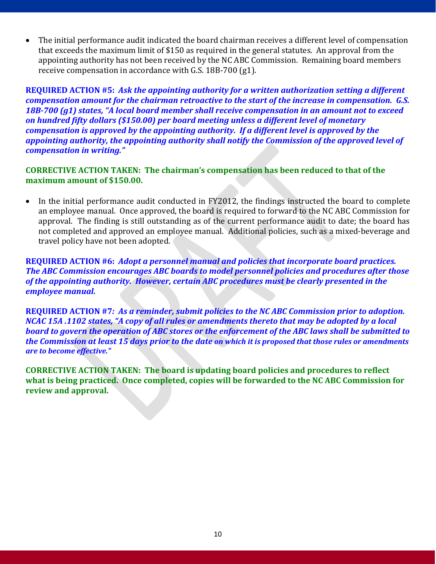• The initial performance audit indicated the board chairman receives a different level of compensation that exceeds the maximum limit of \$150 as required in the general statutes. An approval from the appointing authority has not been received by the NC ABC Commission. Remaining board members receive compensation in accordance with G.S. 18B-700 (g1).

**REQUIRED ACTION #5:** *Ask the appointing authority for a written authorization setting a different compensation amount for the chairman retroactive to the start of the increase in compensation. G.S. 18B-700 (g1) states, "A local board member shall receive compensation in an amount not to exceed on hundred fifty dollars (\$150.00) per board meeting unless a different level of monetary compensation is approved by the appointing authority. If a different level is approved by the appointing authority, the appointing authority shall notify the Commission of the approved level of compensation in writing."*

# **CORRECTIVE ACTION TAKEN: The chairman's compensation has been reduced to that of the maximum amount of \$150.00.**

• In the initial performance audit conducted in FY2012, the findings instructed the board to complete an employee manual. Once approved, the board is required to forward to the NC ABC Commission for approval. The finding is still outstanding as of the current performance audit to date; the board has not completed and approved an employee manual. Additional policies, such as a mixed-beverage and travel policy have not been adopted.

**REQUIRED ACTION #6:** *Adopt a personnel manual and policies that incorporate board practices. The ABC Commission encourages ABC boards to model personnel policies and procedures after those of the appointing authority. However, certain ABC procedures must be clearly presented in the employee manual.* 

**REQUIRED ACTION #7***: As a reminder, submit policies to the NC ABC Commission prior to adoption. NCAC 15A .1102 states, "A copy of all rules or amendments thereto that may be adopted by a local board to govern the operation of ABC stores or the enforcement of the ABC laws shall be submitted to the Commission at least 15 days prior to the date on which it is proposed that those rules or amendments are to become effective."*

**CORRECTIVE ACTION TAKEN: The board is updating board policies and procedures to reflect what is being practiced. Once completed, copies will be forwarded to the NC ABC Commission for review and approval.**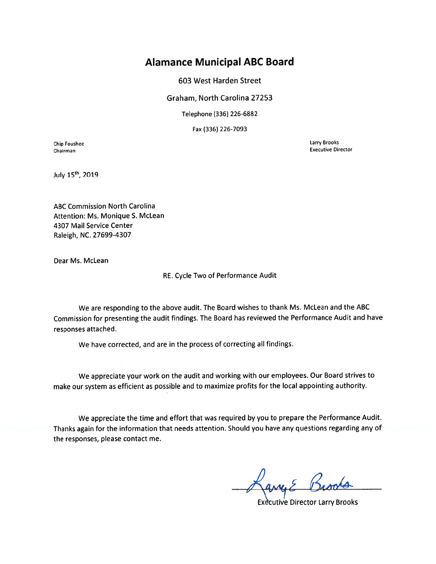# **Alamance Municipal ABC Board**

603 West Harden Street

Graham, North Carolina 27253

Telephone (336) 226-6882

Fax (336) 226-7093

**Chip Foushee** Chairman

Larry Brooks **Executive Director** 

July 15th, 2019

**ABC Commission North Carolina** Attention: Ms. Monique S. McLean 4307 Mail Service Center Raleigh, NC. 27699-4307

Dear Ms. McLean

RE. Cycle Two of Performance Audit

We are responding to the above audit. The Board wishes to thank Ms. McLean and the ABC Commission for presenting the audit findings. The Board has reviewed the Performance Audit and have responses attached.

We have corrected, and are in the process of correcting all findings.

We appreciate your work on the audit and working with our employees. Our Board strives to make our system as efficient as possible and to maximize profits for the local appointing authority.

We appreciate the time and effort that was required by you to prepare the Performance Audit. Thanks again for the information that needs attention. Should you have any questions regarding any of the responses, please contact me.

**Executive Director Larry Brooks**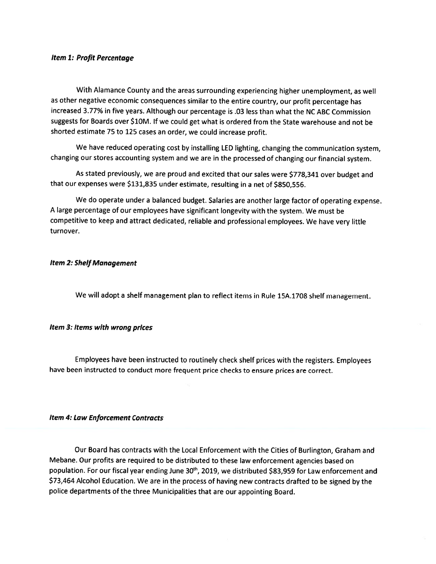#### Item 1: Profit Percentage

With Alamance County and the areas surrounding experiencing higher unemployment, as well as other negative economic consequences similar to the entire country, our profit percentage has increased 3.77% in five years. Although our percentage is .03 less than what the NC ABC Commission suggests for Boards over \$10M. If we could get what is ordered from the State warehouse and not be shorted estimate 75 to 125 cases an order, we could increase profit.

We have reduced operating cost by installing LED lighting, changing the communication system, changing our stores accounting system and we are in the processed of changing our financial system.

As stated previously, we are proud and excited that our sales were \$778,341 over budget and that our expenses were \$131,835 under estimate, resulting in a net of \$850,556.

We do operate under a balanced budget. Salaries are another large factor of operating expense. A large percentage of our employees have significant longevity with the system. We must be competitive to keep and attract dedicated, reliable and professional employees. We have very little turnover.

#### **Item 2: Shelf Management**

We will adopt a shelf management plan to reflect items in Rule 15A.1708 shelf management.

#### Item 3: Items with wrong prices

Employees have been instructed to routinely check shelf prices with the registers. Employees have been instructed to conduct more frequent price checks to ensure prices are correct.

#### **Item 4: Law Enforcement Contracts**

Our Board has contracts with the Local Enforcement with the Cities of Burlington, Graham and Mebane. Our profits are required to be distributed to these law enforcement agencies based on population. For our fiscal year ending June 30<sup>th</sup>, 2019, we distributed \$83,959 for Law enforcement and \$73,464 Alcohol Education. We are in the process of having new contracts drafted to be signed by the police departments of the three Municipalities that are our appointing Board.